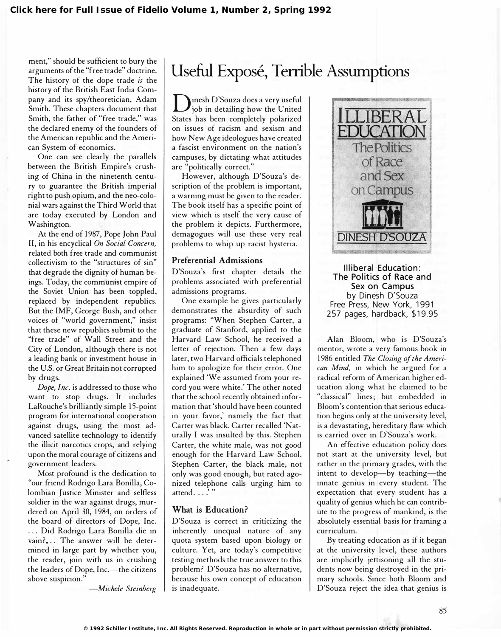ment," should be sufficient to bury the arguments of the "free trade" doctrine. The history of the dope trade is the history of the British East India Company and its spy/theoretician, Adam Smith. These chapters document that Smith, the father of "free trade," was the declared enemy of the founders of the American republic and the American System of economics.

One can see clearly the parallels between the British Empire's crushing of China in the ninetenth century to guarantee the British imperial right to push opium, and the neo-colonial wars against the Third World that are today executed by London and Washington.

At the end of 1987, Pope John Paul II, in his encyclical On Social Concern, related both free trade and communist collectivism to the "structures of sin" that degrade the dignity of human beings. Today, the communist empire of the Soviet Union has been toppled, replaced by independent republics. But the IMF, George Bush, and other voices of "world government," insist that these new republics submit to the "free trade" of Wall Street and the City of London, although there is not a leading bank or investment house in the U.S. or Great Britain not corrupted by drugs.

Dope, Inc. is addressed to those who want to stop drugs. It includes LaRouche's brilliantly simple 15-point program for international cooperation against drugs, using the most advanced satellite technology to identify the illicit narcotics crops, and relying upon the moral courage of citizens and government leaders.

Most profound is the dedication to "our friend Rodrigo Lara Bonilla, Colombian Justice Minister and selfless soldier in the war against drugs, murdered on April 30, 1984, on orders of the board of directors of Dope, Inc. . .. Did Rodrigo Lara Bonilla die in vain?... The answer will be determined in large part by whether you, the reader, join with us in crushing the leaders of Dope, Inc.- the citizens above suspicion."

-Michele Steinberg

## Useful Exposé, Terrible Assumptions

 $\sum$  inesh D'Souza does a very useful<br>job in detailing how the United States has been completely polarized on issues of racism and sexism and how New Age ideologues have created a fascist environment on the nation's campuses, by dictating what attitudes are "politically correct."

However, although D'Souza's description of the problem is important, a warning must be given to the reader. The book itself has a specific point of view which is itself the very cause of the problem it depicts. Furthermore, demagogues will use these very real problems to whip up racist hysteria.

#### Preferential Admissions

D'Souza's first chapter details the problems associated with preferential admissions programs.

One example he gives particularly demonstrates the absurdity of such programs: "When Stephen Carter, a graduate of Stanford, applied to the Harvard Law School, he received a letter of rejection. Then a few days later, two Harvard officials telephoned him to apologize for their error. One explained 'We assumed from your record you were white.' The other noted that the school recently obtained information that 'should have been counted in your favor,' namely the fact that Carter was black. Carter recalled 'Naturally I was insulted by this. Stephen Carter, the white male, was not good enough for the Harvard Law School. Stephen Carter, the black male, not only was good enough, but rated agonized telephone calls urging him to attend.  $\ldots$ .'"

#### What is Education?

D'Souza is correct in criticizing the inherently unequal nature of any quota system based upon biology or culture. Yet, are today's competitive testing methods the true answer to this problem? D'Souza has no alternative, because his own concept of education is inadequate.



Illiberal Education : The Politics of Race and Sex on Campus by Dinesh D'Souza Free Press, New York, 1991 257 pages, hardback, \$19.95

Alan Bloom, who is D'Souza's mentor, wrote a very famous book in 1986 entitled The Closing of the American Mind, in which he argued for a radical reform of American higher education along what he claimed to be "classical" lines; but embedded in Bloom's contention that serious education begins only at the university level, is a devastating, hereditary flaw which is carried over in D'Souza's work.

An effective education policy does not start at the university level, but rather in the primary grades, with the intent to develop-by teaching-the innate genius in every student. The expectation that every student has a quality of genius which he can contribute to the progress of mankind, is the absolutely essential basis for framing a curriculum.

By treating education as if it began at the university level, these authors are implicitly jettisoning all the students now being destroyed in the primary schools. Since both Bloom and D'Souza reject the idea that genius is